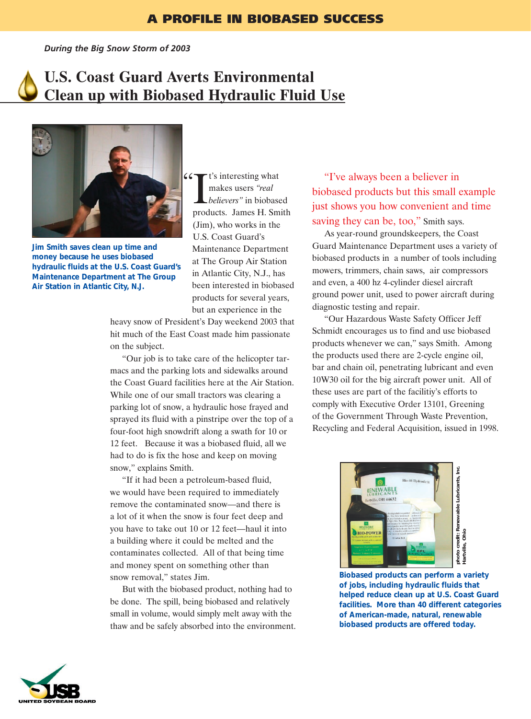*During the Big Snow Storm of 2003*

## **U.S. Coast Guard Averts Environmental Clean up with Biobased Hydraulic Fluid Use**

 $66$ 

**Jim Smith saves clean up time and money because he uses biobased hydraulic fluids at the U.S. Coast Guard's Maintenance Department at The Group Air Station in Atlantic City, N.J.**

It's interesting what<br>
makes users "real<br>
believers" in biobased<br>
products. James H. Smith t's interesting what makes users *"real believers"* in biobased (Jim), who works in the U.S. Coast Guard's Maintenance Department at The Group Air Station in Atlantic City, N.J., has been interested in biobased products for several years, but an experience in the

heavy snow of President's Day weekend 2003 that hit much of the East Coast made him passionate on the subject.

"Our job is to take care of the helicopter tarmacs and the parking lots and sidewalks around the Coast Guard facilities here at the Air Station. While one of our small tractors was clearing a parking lot of snow, a hydraulic hose frayed and sprayed its fluid with a pinstripe over the top of a four-foot high snowdrift along a swath for 10 or 12 feet. Because it was a biobased fluid, all we had to do is fix the hose and keep on moving snow," explains Smith.

"If it had been a petroleum-based fluid, we would have been required to immediately remove the contaminated snow—and there is a lot of it when the snow is four feet deep and you have to take out 10 or 12 feet—haul it into a building where it could be melted and the contaminates collected. All of that being time and money spent on something other than snow removal," states Jim.

But with the biobased product, nothing had to be done. The spill, being biobased and relatively small in volume, would simply melt away with the thaw and be safely absorbed into the environment.

"I've always been a believer in biobased products but this small example just shows you how convenient and time saving they can be, too," Smith says.

As year-round groundskeepers, the Coast Guard Maintenance Department uses a variety of biobased products in a number of tools including mowers, trimmers, chain saws, air compressors and even, a 400 hz 4-cylinder diesel aircraft ground power unit, used to power aircraft during diagnostic testing and repair.

"Our Hazardous Waste Safety Officer Jeff Schmidt encourages us to find and use biobased products whenever we can," says Smith. Among the products used there are 2-cycle engine oil, bar and chain oil, penetrating lubricant and even 10W30 oil for the big aircraft power unit. All of these uses are part of the facilitiy's efforts to comply with Executive Order 13101, Greening of the Government Through Waste Prevention, Recycling and Federal Acquisition, issued in 1998.



**Biobased products can perform a variety of jobs, including hydraulic fluids that helped reduce clean up at U.S. Coast Guard facilities. More than 40 different categories of American-made, natural, renewable biobased products are offered today.**